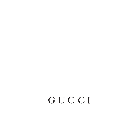# GUCCI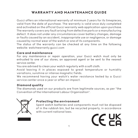# WARRANTY AND MAINTENANCE GUIDE

Gucci offers an international warranty of minimum 2 years for its timepieces, valid from the date of purchase. The warranty is valid once duly completed and activated on the official Gucci warranty web application upon purchase. The warranty covers any fault arising from defective parts or a manufacturing defect. It does not under any circumstances cover battery changes, damage or faults caused by an accident, inappropriate use or negligence, or damage caused by normal wear of the watch or one of its components.

The status of the warranty can be checked at any time on the following website: watchwarranty.aucci.com

#### Care and maintenance

For any maintenance or repair operation, your Gucci watch must only be entrusted to one of our stores, an approved agent or be sent to the nearest service center.

You are advised to clean your watch regularly with a soft cloth.

Avoid leaving it in places exposed to great temperature or humidity variations, sunshine or intense magnetic fields.

We recommend having your watch's water resistance tested by a Gucci service center once a year or after an impact.

## Diamond quality

The diamonds used on our products are from legitimate sources, as per "the Convention of the International Labour Organization".



## Protecting the environment

Spent watch batteries and components must not be disposed of in the rubbish bin, but be recycled properly, in accordance with current national laws.

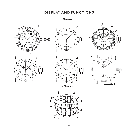# DISPLAY AND FUNCTIONS

## General

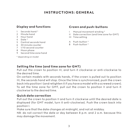# INSTRUCTIONS: GENERAL

#### Display and functions

- 1 Seconds hand \*
- 2 Minute hand
- 3 Hour hand
- 4 Date \*
- 5 Central seconds hand
- 6 30 minute counter
- 7 1/10 second counter
- 8 Moon phase
- 9 Second time zone hand

\* depending on model

#### Crown and push-buttons

- I Manual movement winding \*
- II Date correction (and time zone for GMT)
- III Time setting
- A Push-button \*
- B Push-button \*

#### Setting the time (and time zone for GMT)

Pull out the crown to position III, and turn it clockwise or anti-clockwise to the desired time.

On certain models with seconds hands, if the crown is pulled out to position III, the seconds hand will stop. Once the time is synchronized, push the crown back into position I (and retighten it if you have a model with a screwed crown). To set the time zone for GMT, pull out the crown to position II and turn it clockwise to the desired time.

#### Quick date correction

Pull out the crown to position II and turn it clockwise until the desired date is displayed (for GMT model, turn it anti-clockwise). Push the crown back into position I.

Make sure that the date changes at midnight, and not at midday.

NB: do not correct the date or day between 8 p.m. and 2 a.m. because this may damage the movement.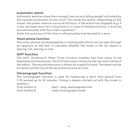## Automatic watch

Automatic watches draw their energy from an oscillating weight activated by the natural movements of your wrist. This winds the watch. Depending on the model, the power reserve is around 40 hours. If the watch has stopped (e.g. if it has not been worn for a long time or in case of limited activity), it must be wound manually with the crown in position I.

Note: the accuracy of the time is influenced by how the watch is worn.

#### Moon phase function

The moon phases are displayed by a rotating disk which can be seen through an aperture on the dial. It indicates whether the moon in the sky above is waxing, full, waning, or new.

## GMT function

The GMT (Greenwich Mean Time) function enables two time zones to be displayed simultaneously: the first time zone is shown by the two main hands of the watch. The second time zone is shown by a specific hand. The bezel can be turned to set the city of the second time zone at noon.

#### Chronograph function

The chronograph function is used for measuring a short time period from 1/10 second up to 30 minutes. Timing is always carried out with the crown in position I. Push-button A: start - stop, read elapsed time Push-button B: reset chronograph hands